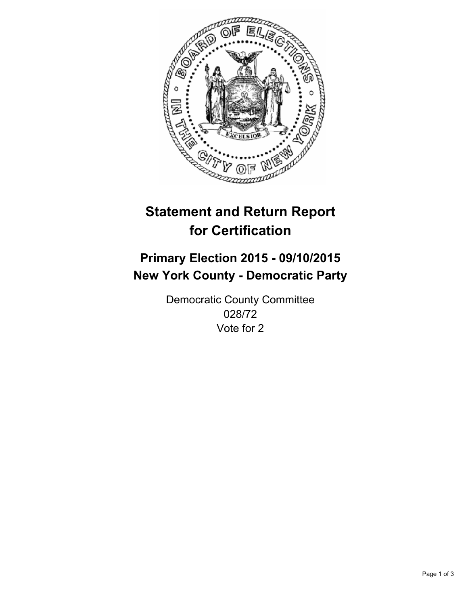

# **Statement and Return Report for Certification**

## **Primary Election 2015 - 09/10/2015 New York County - Democratic Party**

Democratic County Committee 028/72 Vote for 2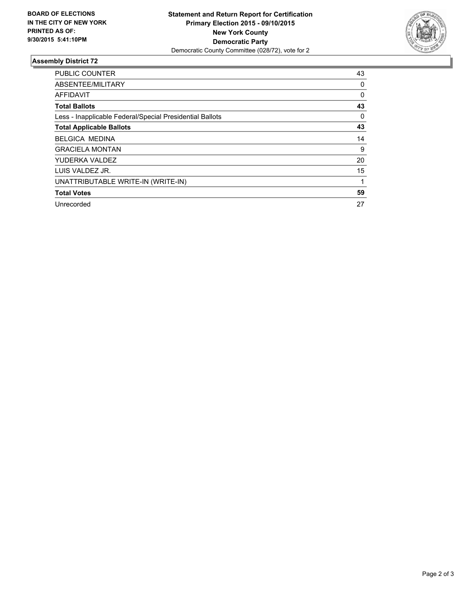

### **Assembly District 72**

| <b>PUBLIC COUNTER</b>                                    | 43       |
|----------------------------------------------------------|----------|
| ABSENTEE/MILITARY                                        | 0        |
| <b>AFFIDAVIT</b>                                         | $\Omega$ |
| <b>Total Ballots</b>                                     | 43       |
| Less - Inapplicable Federal/Special Presidential Ballots | 0        |
| <b>Total Applicable Ballots</b>                          | 43       |
| <b>BELGICA MEDINA</b>                                    | 14       |
| <b>GRACIELA MONTAN</b>                                   | 9        |
| YUDERKA VALDEZ                                           | 20       |
| LUIS VALDEZ JR.                                          | 15       |
| UNATTRIBUTABLE WRITE-IN (WRITE-IN)                       |          |
| <b>Total Votes</b>                                       | 59       |
| Unrecorded                                               | 27       |